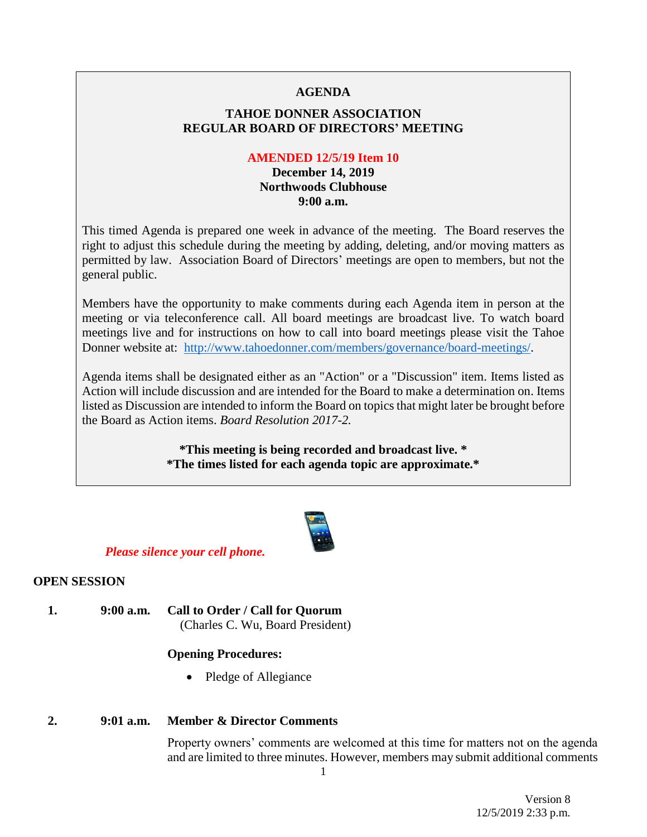# **AGENDA**

# **TAHOE DONNER ASSOCIATION REGULAR BOARD OF DIRECTORS' MEETING**

# **AMENDED 12/5/19 Item 10**

# **December 14, 2019 Northwoods Clubhouse 9:00 a.m.**

This timed Agenda is prepared one week in advance of the meeting. The Board reserves the right to adjust this schedule during the meeting by adding, deleting, and/or moving matters as permitted by law. Association Board of Directors' meetings are open to members, but not the general public.

Members have the opportunity to make comments during each Agenda item in person at the meeting or via teleconference call. All board meetings are broadcast live. To watch board meetings live and for instructions on how to call into board meetings please visit the Tahoe Donner website at: [http://www.tahoedonner.com/members/governance/board-meetings/.](http://www.tahoedonner.com/members/governance/board-meetings/)

Agenda items shall be designated either as an "Action" or a "Discussion" item. Items listed as Action will include discussion and are intended for the Board to make a determination on. Items listed as Discussion are intended to inform the Board on topics that might later be brought before the Board as Action items. *Board Resolution 2017-2.*

> **\*This meeting is being recorded and broadcast live. \* \*The times listed for each agenda topic are approximate.\***



# *Please silence your cell phone.*

# **OPEN SESSION**

**1. 9:00 a.m. Call to Order / Call for Quorum** (Charles C. Wu, Board President)

# **Opening Procedures:**

• Pledge of Allegiance

# **2. 9:01 a.m. Member & Director Comments**

Property owners' comments are welcomed at this time for matters not on the agenda and are limited to three minutes. However, members may submit additional comments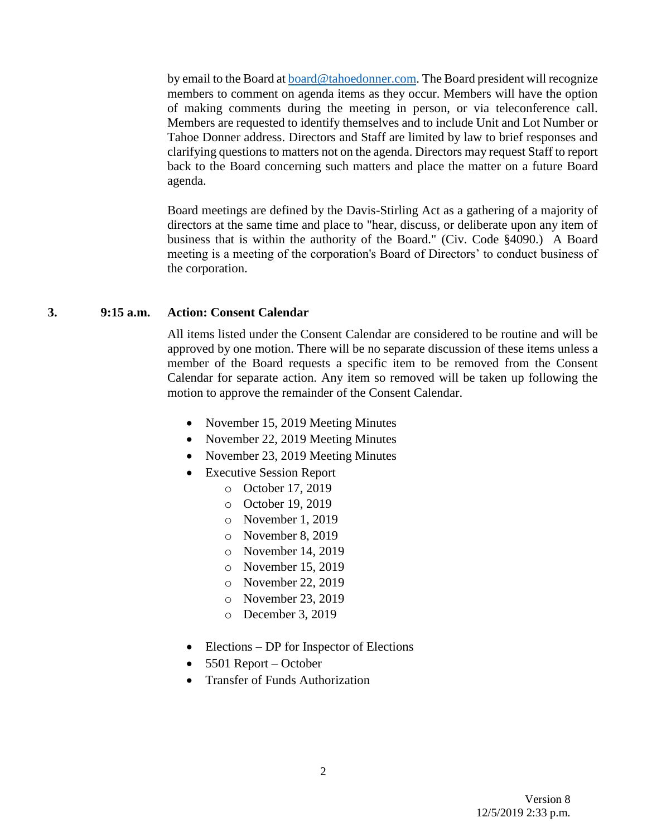by email to the Board at **board@tahoedonner.com**. The Board president will recognize members to comment on agenda items as they occur. Members will have the option of making comments during the meeting in person, or via teleconference call. Members are requested to identify themselves and to include Unit and Lot Number or Tahoe Donner address. Directors and Staff are limited by law to brief responses and clarifying questions to matters not on the agenda. Directors may request Staff to report back to the Board concerning such matters and place the matter on a future Board agenda.

Board meetings are defined by the Davis-Stirling Act as a gathering of a majority of directors at the same time and place to "hear, discuss, or deliberate upon any item of business that is within the authority of the Board." (Civ. Code §4090.) A Board meeting is a meeting of the corporation's Board of Directors' to conduct business of the corporation.

#### **3. 9:15 a.m. Action: Consent Calendar**

All items listed under the Consent Calendar are considered to be routine and will be approved by one motion. There will be no separate discussion of these items unless a member of the Board requests a specific item to be removed from the Consent Calendar for separate action. Any item so removed will be taken up following the motion to approve the remainder of the Consent Calendar.

- November 15, 2019 Meeting Minutes
- November 22, 2019 Meeting Minutes
- November 23, 2019 Meeting Minutes
- Executive Session Report
	- o October 17, 2019
	- o October 19, 2019
	- o November 1, 2019
	- o November 8, 2019
	- o November 14, 2019
	- o November 15, 2019
	- o November 22, 2019
	- o November 23, 2019
	- o December 3, 2019
- Elections DP for Inspector of Elections
- 5501 Report October
- Transfer of Funds Authorization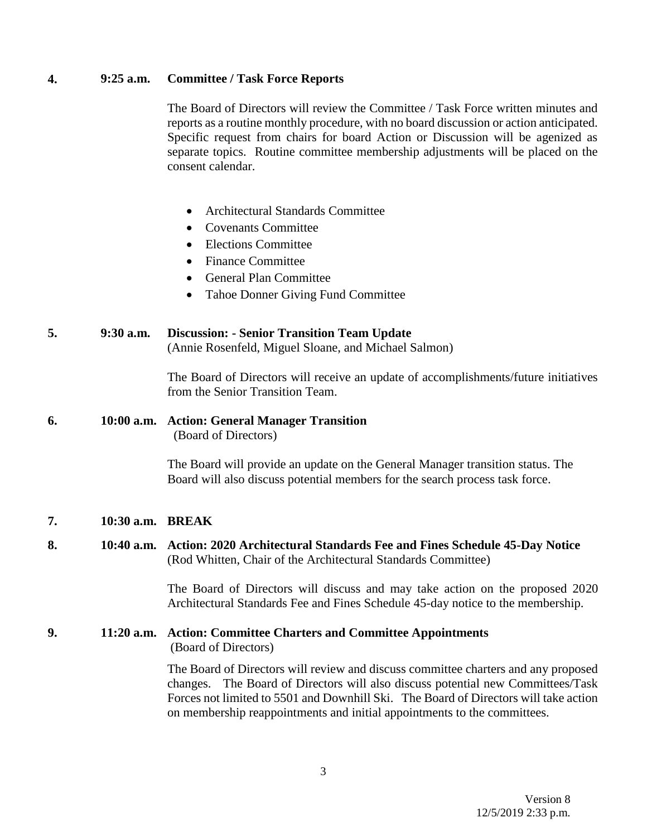#### **4. 9:25 a.m. Committee / Task Force Reports**

The Board of Directors will review the Committee / Task Force written minutes and reports as a routine monthly procedure, with no board discussion or action anticipated. Specific request from chairs for board Action or Discussion will be agenized as separate topics. Routine committee membership adjustments will be placed on the consent calendar.

- Architectural Standards Committee
- Covenants Committee
- Elections Committee
- Finance Committee
- General Plan Committee
- Tahoe Donner Giving Fund Committee

# **5. 9:30 a.m. Discussion: - Senior Transition Team Update**

(Annie Rosenfeld, Miguel Sloane, and Michael Salmon)

The Board of Directors will receive an update of accomplishments/future initiatives from the Senior Transition Team.

# **6. 10:00 a.m. Action: General Manager Transition** (Board of Directors)

The Board will provide an update on the General Manager transition status. The Board will also discuss potential members for the search process task force.

# **7. 10:30 a.m. BREAK**

**8. 10:40 a.m. Action: 2020 Architectural Standards Fee and Fines Schedule 45-Day Notice** (Rod Whitten, Chair of the Architectural Standards Committee)

> The Board of Directors will discuss and may take action on the proposed 2020 Architectural Standards Fee and Fines Schedule 45-day notice to the membership.

# **9. 11:20 a.m. Action: Committee Charters and Committee Appointments**  (Board of Directors)

The Board of Directors will review and discuss committee charters and any proposed changes. The Board of Directors will also discuss potential new Committees/Task Forces not limited to 5501 and Downhill Ski. The Board of Directors will take action on membership reappointments and initial appointments to the committees.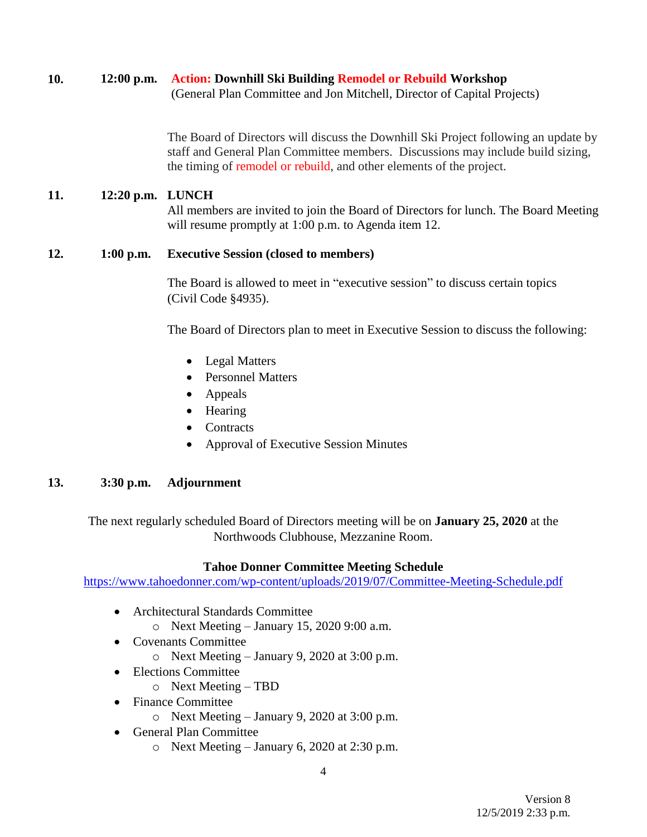# **10. 12:00 p.m. Action: Downhill Ski Building Remodel or Rebuild Workshop**

(General Plan Committee and Jon Mitchell, Director of Capital Projects)

The Board of Directors will discuss the Downhill Ski Project following an update by staff and General Plan Committee members. Discussions may include build sizing, the timing of remodel or rebuild, and other elements of the project.

# **11. 12:20 p.m. LUNCH**

All members are invited to join the Board of Directors for lunch. The Board Meeting will resume promptly at 1:00 p.m. to Agenda item 12.

# **12. 1:00 p.m. Executive Session (closed to members)**

The Board is allowed to meet in "executive session" to discuss certain topics (Civil Code §4935).

The Board of Directors plan to meet in Executive Session to discuss the following:

- Legal Matters
- Personnel Matters
- Appeals
- Hearing
- Contracts
- Approval of Executive Session Minutes

# **13. 3:30 p.m. Adjournment**

The next regularly scheduled Board of Directors meeting will be on **January 25, 2020** at the Northwoods Clubhouse, Mezzanine Room.

# **Tahoe Donner Committee Meeting Schedule**

<https://www.tahoedonner.com/wp-content/uploads/2019/07/Committee-Meeting-Schedule.pdf>

- Architectural Standards Committee  $\circ$  Next Meeting – January 15, 2020 9:00 a.m.
- Covenants Committee
	- o Next Meeting January 9, 2020 at 3:00 p.m.
- Elections Committee
	- o Next Meeting TBD
- Finance Committee
	- $\circ$  Next Meeting January 9, 2020 at 3:00 p.m.
- General Plan Committee
	- o Next Meeting January 6, 2020 at 2:30 p.m.